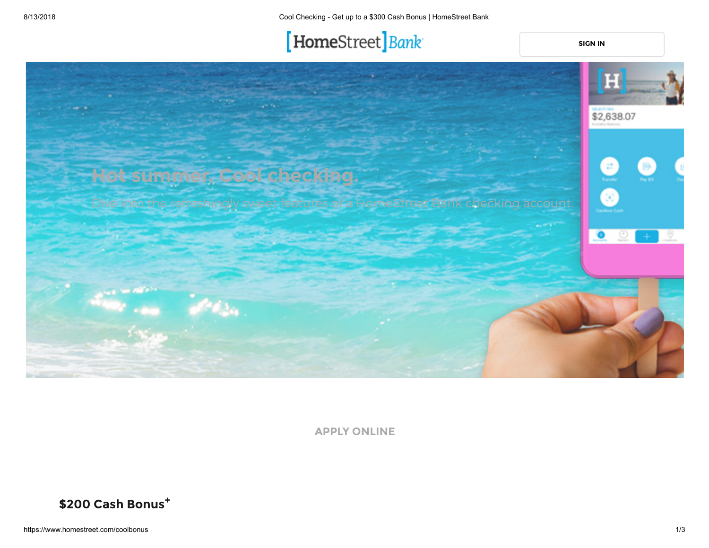# [HomeStreet] Bank

**[SIGN IN](https://www.homestreet.com/coolbonus)**



**APPLY ONLINE**

**\$200 Cash Bonus<sup>+</sup>**